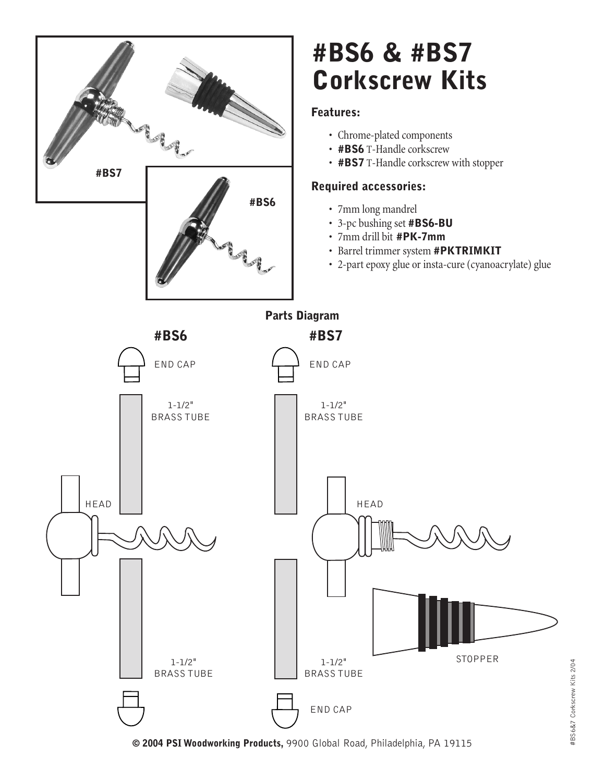

**© 2004 PSI Woodworking Products,** 9900 Global Road, Philadelphia, PA 19115